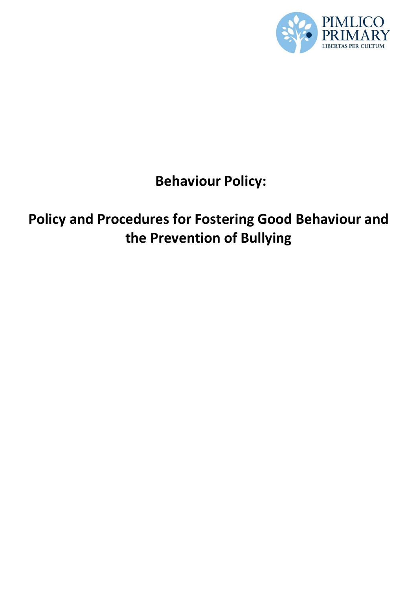

# **Behaviour Policy:**

# **Policy and Procedures for Fostering Good Behaviour and the Prevention of Bullying**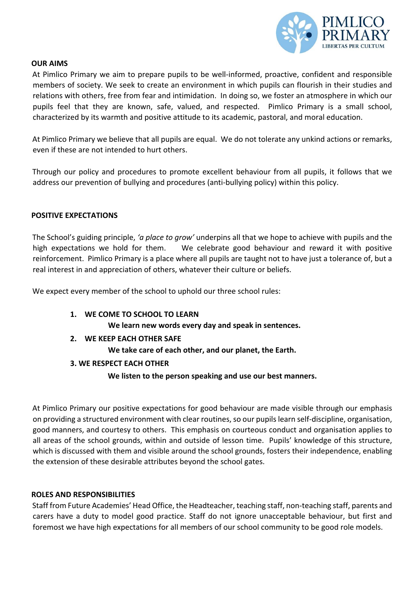

#### **OUR AIMS**

At Pimlico Primary we aim to prepare pupils to be well-informed, proactive, confident and responsible members of society. We seek to create an environment in which pupils can flourish in their studies and relations with others, free from fear and intimidation. In doing so, we foster an atmosphere in which our pupils feel that they are known, safe, valued, and respected. Pimlico Primary is a small school, characterized by its warmth and positive attitude to its academic, pastoral, and moral education.

At Pimlico Primary we believe that all pupils are equal. We do not tolerate any unkind actions or remarks, even if these are not intended to hurt others.

Through our policy and procedures to promote excellent behaviour from all pupils, it follows that we address our prevention of bullying and procedures (anti-bullying policy) within this policy.

## **POSITIVE EXPECTATIONS**

The School's guiding principle, *'a place to grow'* underpins all that we hope to achieve with pupils and the high expectations we hold for them. We celebrate good behaviour and reward it with positive reinforcement. Pimlico Primary is a place where all pupils are taught not to have just a tolerance of, but a real interest in and appreciation of others, whatever their culture or beliefs.

We expect every member of the school to uphold our three school rules:

**1. WE COME TO SCHOOL TO LEARN**

**We learn new words every day and speak in sentences.** 

**2. WE KEEP EACH OTHER SAFE**

**We take care of each other, and our planet, the Earth.** 

# **3. WE RESPECT EACH OTHER**

# **We listen to the person speaking and use our best manners.**

At Pimlico Primary our positive expectations for good behaviour are made visible through our emphasis on providing a structured environment with clear routines, so our pupils learn self-discipline, organisation, good manners, and courtesy to others. This emphasis on courteous conduct and organisation applies to all areas of the school grounds, within and outside of lesson time. Pupils' knowledge of this structure, which is discussed with them and visible around the school grounds, fosters their independence, enabling the extension of these desirable attributes beyond the school gates.

#### **ROLES AND RESPONSIBILITIES**

Staff from Future Academies' Head Office, the Headteacher, teaching staff, non-teaching staff, parents and carers have a duty to model good practice. Staff do not ignore unacceptable behaviour, but first and foremost we have high expectations for all members of our school community to be good role models.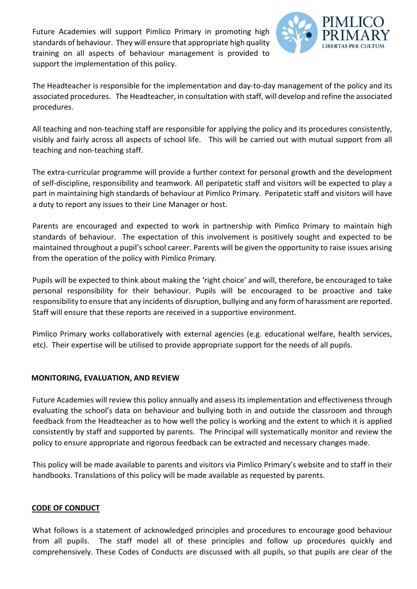Future Academies will support Pimlico Primary in promoting high standards of behaviour. They will ensure that appropriate high quality training on all aspects of behaviour management is provided to support the implementation of this policy.



The Headteacher is responsible for the implementation and day-to-day management of the policy and its associated procedures. The Headteacher, in consultation with staff, will develop and refine the associated procedures.

All teaching and non-teaching staff are responsible for applying the policy and its procedures consistently, visibly and fairly across all aspects of school life. This will be carried out with mutual support from all teaching and non-teaching staff.

The extra-curricular programme will provide a further context for personal growth and the development of self-discipline, responsibility and teamwork. All peripatetic staff and visitors will be expected to play a part in maintaining high standards of behaviour at Pimlico Primary. Peripatetic staff and visitors will have a duty to report any issues to their Line Manager or host.

Parents are encouraged and expected to work in partnership with Pimlico Primary to maintain high standards of behaviour. The expectation of this involvement is positively sought and expected to be maintained throughout a pupil's school career. Parents will be given the opportunity to raise issues arising from the operation of the policy with Pimlico Primary.

Pupils will be expected to think about making the 'right choice' and will, therefore, be encouraged to take personal responsibility for their behaviour. Pupils will be encouraged to be proactive and take responsibility to ensure that any incidents of disruption, bullying and any form of harassment are reported. Staff will ensure that these reports are received in a supportive environment.

Pimlico Primary works collaboratively with external agencies (e.g. educational welfare, health services, etc). Their expertise will be utilised to provide appropriate support for the needs of all pupils.

# **MONITORING, EVALUATION, AND REVIEW**

Future Academies will review this policy annually and assess its implementation and effectiveness through evaluating the school's data on behaviour and bullying both in and outside the classroom and through feedback from the Headteacher as to how well the policy is working and the extent to which it is applied consistently by staff and supported by parents. The Principal will systematically monitor and review the policy to ensure appropriate and rigorous feedback can be extracted and necessary changes made.

This policy will be made available to parents and visitors via Pimlico Primary's website and to staff in their handbooks. Translations of this policy will be made available as requested by parents.

# **CODE OF CONDUCT**

What follows is a statement of acknowledged principles and procedures to encourage good behaviour from all pupils. The staff model all of these principles and follow up procedures quickly and comprehensively. These Codes of Conducts are discussed with all pupils, so that pupils are clear of the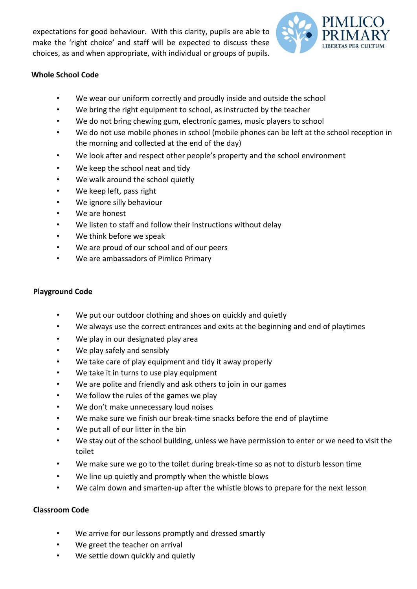expectations for good behaviour. With this clarity, pupils are able to make the 'right choice' and staff will be expected to discuss these choices, as and when appropriate, with individual or groups of pupils.



# **Whole School Code**

- We wear our uniform correctly and proudly inside and outside the school
- We bring the right equipment to school, as instructed by the teacher
- We do not bring chewing gum, electronic games, music players to school
- We do not use mobile phones in school (mobile phones can be left at the school reception in the morning and collected at the end of the day)
- We look after and respect other people's property and the school environment
- We keep the school neat and tidy
- We walk around the school quietly
- We keep left, pass right
- We ignore silly behaviour
- We are honest
- We listen to staff and follow their instructions without delay
- We think before we speak
- We are proud of our school and of our peers
- We are ambassadors of Pimlico Primary

## **Playground Code**

- We put our outdoor clothing and shoes on quickly and quietly
- We always use the correct entrances and exits at the beginning and end of playtimes
- We play in our designated play area
- We play safely and sensibly
- We take care of play equipment and tidy it away properly
- We take it in turns to use play equipment
- We are polite and friendly and ask others to join in our games
- We follow the rules of the games we play
- We don't make unnecessary loud noises
- We make sure we finish our break-time snacks before the end of playtime
- We put all of our litter in the bin
- We stay out of the school building, unless we have permission to enter or we need to visit the toilet
- We make sure we go to the toilet during break-time so as not to disturb lesson time
- We line up quietly and promptly when the whistle blows
- We calm down and smarten-up after the whistle blows to prepare for the next lesson

# **Classroom Code**

- We arrive for our lessons promptly and dressed smartly
- We greet the teacher on arrival
- We settle down quickly and quietly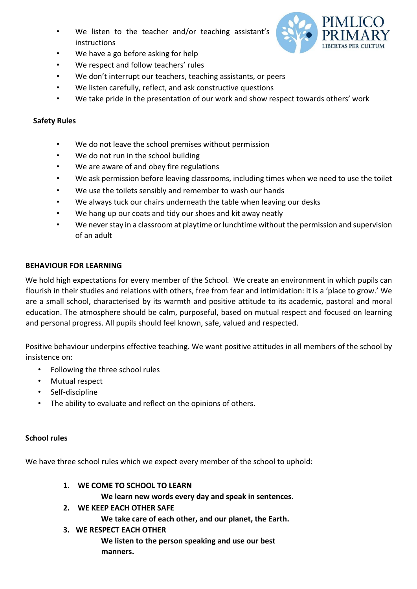We listen to the teacher and/or teaching assistant's instructions



- We have a go before asking for help
- We respect and follow teachers' rules
- We don't interrupt our teachers, teaching assistants, or peers
- We listen carefully, reflect, and ask constructive questions
- We take pride in the presentation of our work and show respect towards others' work

#### **Safety Rules**

- We do not leave the school premises without permission
- We do not run in the school building
- We are aware of and obey fire regulations
- We ask permission before leaving classrooms, including times when we need to use the toilet
- We use the toilets sensibly and remember to wash our hands
- We always tuck our chairs underneath the table when leaving our desks
- We hang up our coats and tidy our shoes and kit away neatly
- We never stay in a classroom at playtime or lunchtime without the permission and supervision of an adult

#### **BEHAVIOUR FOR LEARNING**

We hold high expectations for every member of the School*.* We create an environment in which pupils can flourish in their studies and relations with others, free from fear and intimidation: it is a 'place to grow.' We are a small school, characterised by its warmth and positive attitude to its academic, pastoral and moral education. The atmosphere should be calm, purposeful, based on mutual respect and focused on learning and personal progress. All pupils should feel known, safe, valued and respected.

Positive behaviour underpins effective teaching. We want positive attitudes in all members of the school by insistence on:

- Following the three school rules
- Mutual respect
- Self-discipline
- The ability to evaluate and reflect on the opinions of others.

#### **School rules**

We have three school rules which we expect every member of the school to uphold:

**1. WE COME TO SCHOOL TO LEARN**

**We learn new words every day and speak in sentences.** 

**2. WE KEEP EACH OTHER SAFE**

**We take care of each other, and our planet, the Earth.** 

**3. WE RESPECT EACH OTHER**

**We listen to the person speaking and use our best manners.**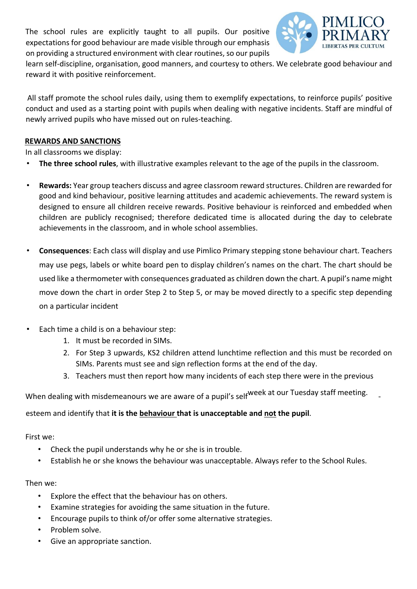The school rules are explicitly taught to all pupils. Our positive expectations for good behaviour are made visible through our emphasis on providing a structured environment with clear routines, so our pupils



learn self-discipline, organisation, good manners, and courtesy to others. We celebrate good behaviour and reward it with positive reinforcement.

All staff promote the school rules daily, using them to exemplify expectations, to reinforce pupils' positive conduct and used as a starting point with pupils when dealing with negative incidents. Staff are mindful of newly arrived pupils who have missed out on rules-teaching.

## **REWARDS AND SANCTIONS**

In all classrooms we display:

- **The three school rules**, with illustrative examples relevant to the age of the pupils in the classroom.
- **Rewards:** Year group teachers discuss and agree classroom reward structures. Children are rewarded for good and kind behaviour, positive learning attitudes and academic achievements. The reward system is designed to ensure all children receive rewards. Positive behaviour is reinforced and embedded when children are publicly recognised; therefore dedicated time is allocated during the day to celebrate achievements in the classroom, and in whole school assemblies.
- **Consequences**: Each class will display and use Pimlico Primary stepping stone behaviour chart. Teachers may use pegs, labels or white board pen to display children's names on the chart. The chart should be used like a thermometer with consequences graduated as children down the chart. A pupil's name might move down the chart in order Step 2 to Step 5, or may be moved directly to a specific step depending on a particular incident
- Each time a child is on a behaviour step:
	- 1. It must be recorded in SIMs.
	- 2. For Step 3 upwards, KS2 children attend lunchtime reflection and this must be recorded on SIMs. Parents must see and sign reflection forms at the end of the day.
	- 3. Teachers must then report how many incidents of each step there were in the previous

When dealing with misdemeanours we are aware of a pupil's self<sup>week</sup> at our Tuesday staff meeting.

esteem and identify that **it is the behaviour that is unacceptable and not the pupil**.

First we:

- Check the pupil understands why he or she is in trouble.
- Establish he or she knows the behaviour was unacceptable. Always refer to the School Rules.

Then we:

- Explore the effect that the behaviour has on others.
- Examine strategies for avoiding the same situation in the future.
- Encourage pupils to think of/or offer some alternative strategies.
- Problem solve.
- Give an appropriate sanction.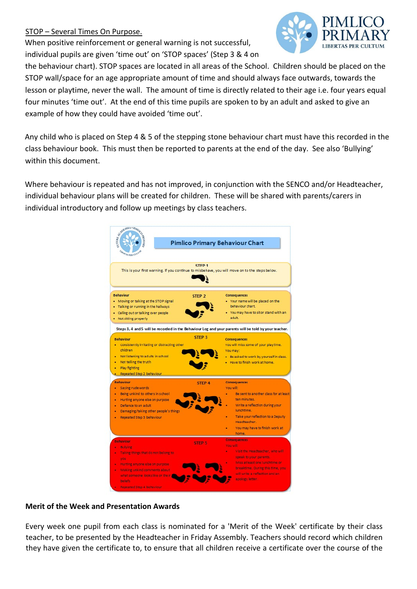# STOP – Several Times On Purpose.

When positive reinforcement or general warning is not successful, individual pupils are given 'time out' on 'STOP spaces' (Step 3 & 4 on



the behaviour chart). STOP spaces are located in all areas of the School. Children should be placed on the STOP wall/space for an age appropriate amount of time and should always face outwards, towards the lesson or playtime, never the wall. The amount of time is directly related to their age i.e. four years equal four minutes 'time out'. At the end of this time pupils are spoken to by an adult and asked to give an example of how they could have avoided 'time out'.

Any child who is placed on Step 4 & 5 of the stepping stone behaviour chart must have this recorded in the class behaviour book. This must then be reported to parents at the end of the day. See also 'Bullying' within this document.

Where behaviour is repeated and has not improved, in conjunction with the SENCO and/or Headteacher, individual behaviour plans will be created for children. These will be shared with parents/carers in individual introductory and follow up meetings by class teachers.

| <b>COMMUNITY RIVER</b><br><b>URERTAS PER CUTS</b>                                                                                                                                                                                                                           |                                                                                                                                                                            | <b>Pimlico Primary Behaviour Chart</b>                                                                                                                                                                                                   |
|-----------------------------------------------------------------------------------------------------------------------------------------------------------------------------------------------------------------------------------------------------------------------------|----------------------------------------------------------------------------------------------------------------------------------------------------------------------------|------------------------------------------------------------------------------------------------------------------------------------------------------------------------------------------------------------------------------------------|
| This is your first warning. If you continue to misbehave, you will move on to the steps below.                                                                                                                                                                              | STFP <sub>1</sub>                                                                                                                                                          |                                                                                                                                                                                                                                          |
| <b>Behaviour</b><br>• Moving or talking at the STOP signal<br>. Talking or running in the hallways<br>. Calling out or talking over people<br>Not sitting properly<br>Steps 3, 4 and 5 will be recorded in the Behaviour Log and your parents will be told by your teacher. | STEP <sub>2</sub>                                                                                                                                                          | <b>Consequences</b><br>. Your name will be placed on the<br>behaviour chart.<br>. You may have to sit or stand with an<br>adult.                                                                                                         |
| <b>Behaviour</b><br>• Consistently irritating or distracting other<br>children<br>Not listening to adults in school<br>Not telling the truth<br>٠<br>Play fighting<br>Repeated Step 2 behaviour.                                                                            | STFP <sub>3</sub><br><b>Consequences</b><br>You will miss some of your playtime.<br>You may:<br>. Be asked to work by yourself in class.<br>. Have to finish work at home. |                                                                                                                                                                                                                                          |
| <b>Behaviour</b><br>Saying rude words<br>Being unkind to others in school<br>Hurting anyone else on purpose<br>٠<br>Defiance to an adult<br>٠<br>Damaging/taking other people's things<br>Repeated Step 3 behaviour                                                         | <b>STEP 4</b>                                                                                                                                                              | <b>Consequences</b><br>You will:<br>Be sent to another class for at least<br>ten minutes.<br>Write a reflection during your<br>lunchtime.<br>Take your reflection to a Deputy<br>Headteacher.<br>You may have to finish work at<br>home. |
| <b>Behaviour</b><br><b>Bullying</b><br>Taking things that do not belong to<br>you.<br>Hurting anyone else on purpose<br>٠<br>Making unkind comments about<br>٠<br>what someone looks like or the ir.<br>beliefs.                                                            | <b>STEP 5</b>                                                                                                                                                              | <b>Consequences</b><br>You will:<br>Visit the Headteacher, who will<br>speak to your parents.<br>Miss at least one l'unchtime or<br>breaktime. During this time, you<br>will write a reflection and an<br>apology letter.                |

# **Merit of the Week and Presentation Awards**

Every week one pupil from each class is nominated for a 'Merit of the Week' certificate by their class teacher, to be presented by the Headteacher in Friday Assembly. Teachers should record which children they have given the certificate to, to ensure that all children receive a certificate over the course of the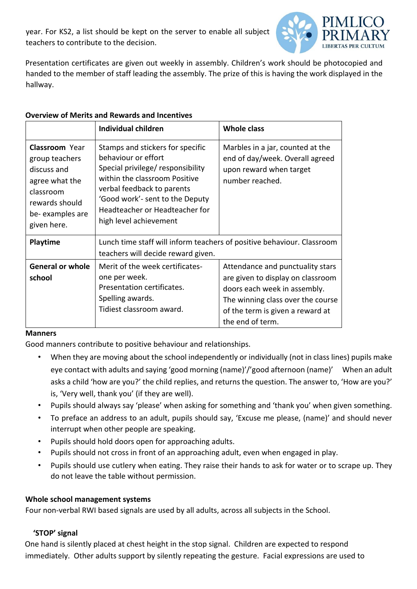year. For KS2, a list should be kept on the server to enable all subject teachers to contribute to the decision.



Presentation certificates are given out weekly in assembly. Children's work should be photocopied and handed to the member of staff leading the assembly. The prize of this is having the work displayed in the hallway.

# **Overview of Merits and Rewards and Incentives**

|                                                                                                                                           | <b>Individual children</b>                                                                                                                                                                                                                                 | <b>Whole class</b>                                                                                                                                                                                 |  |  |
|-------------------------------------------------------------------------------------------------------------------------------------------|------------------------------------------------------------------------------------------------------------------------------------------------------------------------------------------------------------------------------------------------------------|----------------------------------------------------------------------------------------------------------------------------------------------------------------------------------------------------|--|--|
| <b>Classroom</b> Year<br>group teachers<br>discuss and<br>agree what the<br>classroom<br>rewards should<br>be-examples are<br>given here. | Stamps and stickers for specific<br>behaviour or effort<br>Special privilege/ responsibility<br>within the classroom Positive<br>verbal feedback to parents<br>'Good work'- sent to the Deputy<br>Headteacher or Headteacher for<br>high level achievement | Marbles in a jar, counted at the<br>end of day/week. Overall agreed<br>upon reward when target<br>number reached.                                                                                  |  |  |
| <b>Playtime</b>                                                                                                                           | Lunch time staff will inform teachers of positive behaviour. Classroom<br>teachers will decide reward given.                                                                                                                                               |                                                                                                                                                                                                    |  |  |
| <b>General or whole</b><br>school                                                                                                         | Merit of the week certificates-<br>one per week.<br>Presentation certificates.<br>Spelling awards.<br>Tidiest classroom award.                                                                                                                             | Attendance and punctuality stars<br>are given to display on classroom<br>doors each week in assembly.<br>The winning class over the course<br>of the term is given a reward at<br>the end of term. |  |  |

# **Manners**

Good manners contribute to positive behaviour and relationships.

- When they are moving about the school independently or individually (not in class lines) pupils make eye contact with adults and saying 'good morning (name)'/'good afternoon (name)' When an adult asks a child 'how are you?' the child replies, and returns the question. The answer to, 'How are you?' is, 'Very well, thank you' (if they are well).
- Pupils should always say 'please' when asking for something and 'thank you' when given something.
- To preface an address to an adult, pupils should say, 'Excuse me please, (name)' and should never interrupt when other people are speaking.
- Pupils should hold doors open for approaching adults.
- Pupils should not cross in front of an approaching adult, even when engaged in play.
- Pupils should use cutlery when eating. They raise their hands to ask for water or to scrape up. They do not leave the table without permission.

# **Whole school management systems**

Four non-verbal RWI based signals are used by all adults, across all subjects in the School.

# **'STOP' signal**

One hand is silently placed at chest height in the stop signal. Children are expected to respond immediately. Other adults support by silently repeating the gesture. Facial expressions are used to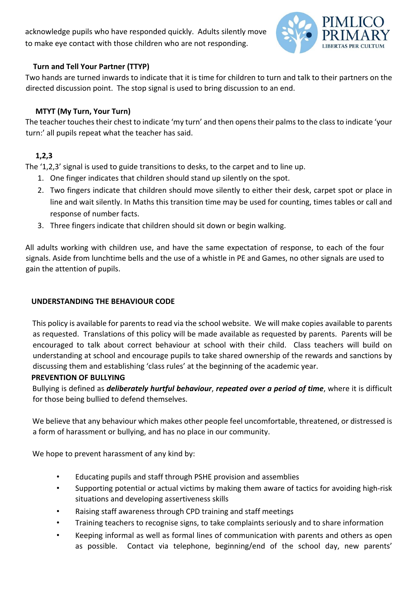acknowledge pupils who have responded quickly. Adults silently move to make eye contact with those children who are not responding.



# **Turn and Tell Your Partner (TTYP)**

Two hands are turned inwards to indicate that it is time for children to turn and talk to their partners on the directed discussion point. The stop signal is used to bring discussion to an end.

# **MTYT (My Turn, Your Turn)**

The teacher touches their chest to indicate 'my turn' and then opens their palms to the class to indicate 'your turn:' all pupils repeat what the teacher has said.

# **1,2,3**

The '1,2,3' signal is used to guide transitions to desks, to the carpet and to line up.

- 1. One finger indicates that children should stand up silently on the spot.
- 2. Two fingers indicate that children should move silently to either their desk, carpet spot or place in line and wait silently. In Maths this transition time may be used for counting, times tables or call and response of number facts.
- 3. Three fingers indicate that children should sit down or begin walking.

All adults working with children use, and have the same expectation of response, to each of the four signals. Aside from lunchtime bells and the use of a whistle in PE and Games, no other signals are used to gain the attention of pupils.

# **UNDERSTANDING THE BEHAVIOUR CODE**

This policy is available for parents to read via the school website. We will make copies available to parents as requested. Translations of this policy will be made available as requested by parents. Parents will be encouraged to talk about correct behaviour at school with their child. Class teachers will build on understanding at school and encourage pupils to take shared ownership of the rewards and sanctions by discussing them and establishing 'class rules' at the beginning of the academic year.

# **PREVENTION OF BULLYING**

Bullying is defined as *deliberately hurtful behaviour*, *repeated over a period of time*, where it is difficult for those being bullied to defend themselves.

We believe that any behaviour which makes other people feel uncomfortable, threatened, or distressed is a form of harassment or bullying, and has no place in our community.

We hope to prevent harassment of any kind by:

- Educating pupils and staff through PSHE provision and assemblies
- Supporting potential or actual victims by making them aware of tactics for avoiding high-risk situations and developing assertiveness skills
- Raising staff awareness through CPD training and staff meetings
- Training teachers to recognise signs, to take complaints seriously and to share information
- Keeping informal as well as formal lines of communication with parents and others as open as possible. Contact via telephone, beginning/end of the school day, new parents'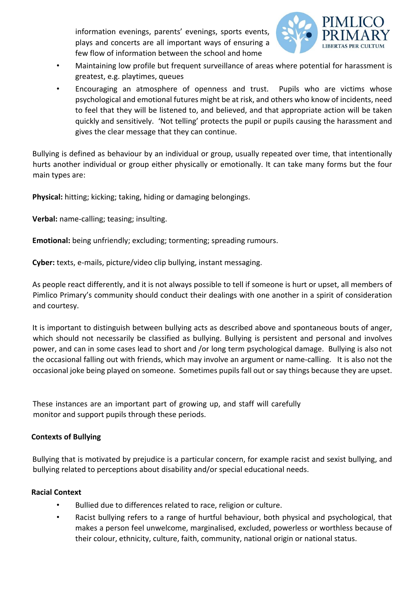information evenings, parents' evenings, sports events, plays and concerts are all important ways of ensuring a few flow of information between the school and home



- Maintaining low profile but frequent surveillance of areas where potential for harassment is greatest, e.g. playtimes, queues
- Encouraging an atmosphere of openness and trust. Pupils who are victims whose psychological and emotional futures might be at risk, and others who know of incidents, need to feel that they will be listened to, and believed, and that appropriate action will be taken quickly and sensitively. 'Not telling' protects the pupil or pupils causing the harassment and gives the clear message that they can continue.

Bullying is defined as behaviour by an individual or group, usually repeated over time, that intentionally hurts another individual or group either physically or emotionally. It can take many forms but the four main types are:

**Physical:** hitting; kicking; taking, hiding or damaging belongings.

**Verbal:** name-calling; teasing; insulting.

**Emotional:** being unfriendly; excluding; tormenting; spreading rumours.

**Cyber:** texts, e-mails, picture/video clip bullying, instant messaging.

As people react differently, and it is not always possible to tell if someone is hurt or upset, all members of Pimlico Primary's community should conduct their dealings with one another in a spirit of consideration and courtesy.

It is important to distinguish between bullying acts as described above and spontaneous bouts of anger, which should not necessarily be classified as bullying. Bullying is persistent and personal and involves power, and can in some cases lead to short and /or long term psychological damage. Bullying is also not the occasional falling out with friends, which may involve an argument or name-calling. It is also not the occasional joke being played on someone. Sometimes pupils fall out or say things because they are upset.

These instances are an important part of growing up, and staff will carefully monitor and support pupils through these periods.

# **Contexts of Bullying**

Bullying that is motivated by prejudice is a particular concern, for example racist and sexist bullying, and bullying related to perceptions about disability and/or special educational needs.

# **Racial Context**

- Bullied due to differences related to race, religion or culture.
- Racist bullying refers to a range of hurtful behaviour, both physical and psychological, that makes a person feel unwelcome, marginalised, excluded, powerless or worthless because of their colour, ethnicity, culture, faith, community, national origin or national status.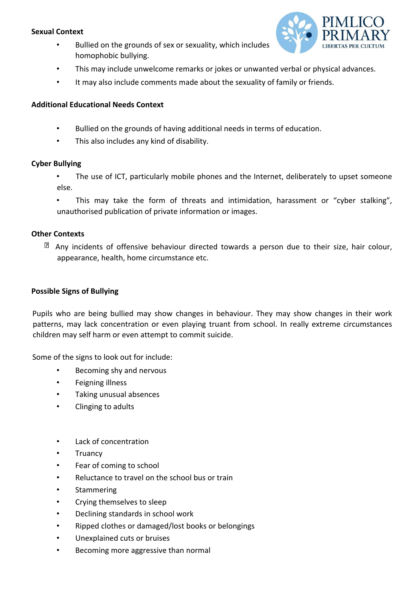## **Sexual Context**

• Bullied on the grounds of sex or sexuality, which includes homophobic bullying.



- This may include unwelcome remarks or jokes or unwanted verbal or physical advances.
- It may also include comments made about the sexuality of family or friends.

## **Additional Educational Needs Context**

- Bullied on the grounds of having additional needs in terms of education.
- This also includes any kind of disability.

## **Cyber Bullying**

- The use of ICT, particularly mobile phones and the Internet, deliberately to upset someone else.
- This may take the form of threats and intimidation, harassment or "cyber stalking", unauthorised publication of private information or images.

## **Other Contexts**

 $\mathbb{\Omega}$  Any incidents of offensive behaviour directed towards a person due to their size, hair colour, appearance, health, home circumstance etc.

## **Possible Signs of Bullying**

Pupils who are being bullied may show changes in behaviour. They may show changes in their work patterns, may lack concentration or even playing truant from school. In really extreme circumstances children may self harm or even attempt to commit suicide.

Some of the signs to look out for include:

- Becoming shy and nervous
- Feigning illness
- Taking unusual absences
- Clinging to adults
- Lack of concentration
- Truancy
- Fear of coming to school
- Reluctance to travel on the school bus or train
- Stammering
- Crying themselves to sleep
- Declining standards in school work
- Ripped clothes or damaged/lost books or belongings
- Unexplained cuts or bruises
- Becoming more aggressive than normal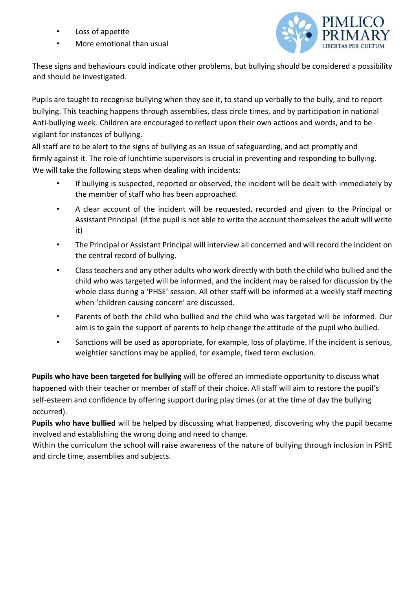- Loss of appetite
- More emotional than usual



These signs and behaviours could indicate other problems, but bullying should be considered a possibility and should be investigated.

Pupils are taught to recognise bullying when they see it, to stand up verbally to the bully, and to report bullying. This teaching happens through assemblies, class circle times, and by participation in national Anti-bullying week. Children are encouraged to reflect upon their own actions and words, and to be vigilant for instances of bullying.

All staff are to be alert to the signs of bullying as an issue of safeguarding, and act promptly and firmly against it. The role of lunchtime supervisors is crucial in preventing and responding to bullying. We will take the following steps when dealing with incidents:

- If bullying is suspected, reported or observed, the incident will be dealt with immediately by the member of staff who has been approached.
- A clear account of the incident will be requested, recorded and given to the Principal or Assistant Principal (if the pupil is not able to write the account themselves the adult will write it)
- The Principal or Assistant Principal will interview all concerned and will record the incident on the central record of bullying.
- Class teachers and any other adults who work directly with both the child who bullied and the child who was targeted will be informed, and the incident may be raised for discussion by the whole class during a 'PHSE' session. All other staff will be informed at a weekly staff meeting when 'children causing concern' are discussed.
- Parents of both the child who bullied and the child who was targeted will be informed. Our aim is to gain the support of parents to help change the attitude of the pupil who bullied.
- Sanctions will be used as appropriate, for example, loss of playtime. If the incident is serious, weightier sanctions may be applied, for example, fixed term exclusion.

**Pupils who have been targeted for bullying** will be offered an immediate opportunity to discuss what happened with their teacher or member of staff of their choice. All staff will aim to restore the pupil's self-esteem and confidence by offering support during play times (or at the time of day the bullying occurred).

**Pupils who have bullied** will be helped by discussing what happened, discovering why the pupil became involved and establishing the wrong doing and need to change.

Within the curriculum the school will raise awareness of the nature of bullying through inclusion in PSHE and circle time, assemblies and subjects.